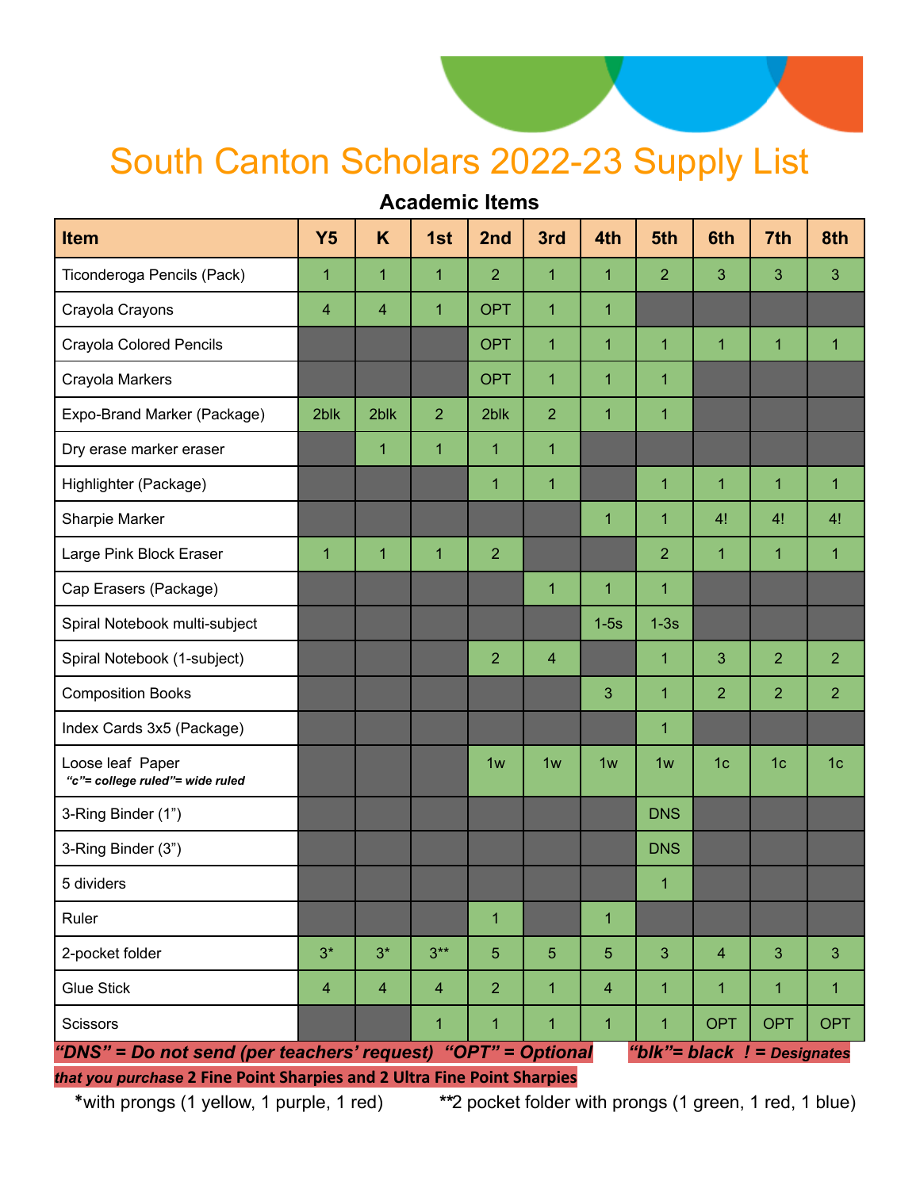## South Canton Scholars 2022-23 Supply List

## **Academic Items**

| <b>Item</b>                                                                                                                             | <b>Y5</b>      | K            | 1st            | 2nd            | 3rd            | 4th            | 5th            | 6th            | 7th                           | 8th            |
|-----------------------------------------------------------------------------------------------------------------------------------------|----------------|--------------|----------------|----------------|----------------|----------------|----------------|----------------|-------------------------------|----------------|
| Ticonderoga Pencils (Pack)                                                                                                              | $\overline{1}$ | 1            | $\overline{1}$ | $\overline{2}$ | $\mathbf{1}$   | $\overline{1}$ | $\overline{2}$ | 3              | 3                             | 3              |
| Crayola Crayons                                                                                                                         | 4              | 4            | $\overline{1}$ | <b>OPT</b>     | 1              | $\overline{1}$ |                |                |                               |                |
| Crayola Colored Pencils                                                                                                                 |                |              |                | <b>OPT</b>     | 1              | $\mathbf{1}$   | 1              | $\mathbf{1}$   | $\overline{1}$                | $\mathbf 1$    |
| Crayola Markers                                                                                                                         |                |              |                | <b>OPT</b>     | 1              | 1              | 1              |                |                               |                |
| Expo-Brand Marker (Package)                                                                                                             | 2blk           | 2blk         | $\overline{2}$ | 2blk           | $\overline{2}$ | $\overline{1}$ | 1              |                |                               |                |
| Dry erase marker eraser                                                                                                                 |                | $\mathbf{1}$ | $\overline{1}$ | $\overline{1}$ | $\mathbf{1}$   |                |                |                |                               |                |
| Highlighter (Package)                                                                                                                   |                |              |                | $\mathbf{1}$   | $\mathbf{1}$   |                | $\mathbf{1}$   | $\mathbf 1$    | 1                             | $\mathbf{1}$   |
| Sharpie Marker                                                                                                                          |                |              |                |                |                | $\overline{1}$ | $\mathbf{1}$   | 4!             | 4!                            | 4!             |
| Large Pink Block Eraser                                                                                                                 | $\mathbf{1}$   | $\mathbf{1}$ | $\overline{1}$ | $\overline{2}$ |                |                | $\overline{2}$ | $\mathbf{1}$   | 1                             | $\mathbf{1}$   |
| Cap Erasers (Package)                                                                                                                   |                |              |                |                | 1              | 1              | $\mathbf{1}$   |                |                               |                |
| Spiral Notebook multi-subject                                                                                                           |                |              |                |                |                | $1-5s$         | $1-3s$         |                |                               |                |
| Spiral Notebook (1-subject)                                                                                                             |                |              |                | $\overline{2}$ | 4              |                | 1              | 3              | $\overline{2}$                | $\overline{2}$ |
| <b>Composition Books</b>                                                                                                                |                |              |                |                |                | 3              | $\mathbf{1}$   | $\overline{2}$ | $\overline{2}$                | $\overline{2}$ |
| Index Cards 3x5 (Package)                                                                                                               |                |              |                |                |                |                | $\mathbf{1}$   |                |                               |                |
| Loose leaf Paper<br>"c"= college ruled"= wide ruled                                                                                     |                |              |                | 1w             | 1w             | 1w             | 1w             | 1 <sub>c</sub> | 1 <sub>c</sub>                | 1 <sub>c</sub> |
| 3-Ring Binder (1")                                                                                                                      |                |              |                |                |                |                | <b>DNS</b>     |                |                               |                |
| 3-Ring Binder (3")                                                                                                                      |                |              |                |                |                |                | <b>DNS</b>     |                |                               |                |
| 5 dividers                                                                                                                              |                |              |                |                |                |                | 1              |                |                               |                |
| Ruler                                                                                                                                   |                |              |                | 1              |                | 1              |                |                |                               |                |
| 2-pocket folder                                                                                                                         | $3^*$          | $3*$         | $3***$         | $5\phantom{.}$ | 5              | 5              | 3              | $\overline{4}$ | 3                             | 3              |
| <b>Glue Stick</b>                                                                                                                       | $\overline{4}$ | 4            | $\overline{4}$ | $\overline{2}$ | 1              | $\overline{4}$ | $\mathbf 1$    | 1              | 1                             | $\mathbf{1}$   |
| Scissors                                                                                                                                |                |              | 1              | 1              | $\mathbf{1}$   | 1              | $\mathbf 1$    | <b>OPT</b>     | <b>OPT</b>                    | <b>OPT</b>     |
| "DNS" = Do not send (per teachers' request) "OPT" = Optional<br>that you purchase 2 Fine Point Sharpies and 2 Ultra Fine Point Sharpies |                |              |                |                |                |                |                |                | "blk"= black $!$ = Designates |                |

\*with prongs (1 yellow, 1 purple, 1 red) *\*\**2 pocket folder with prongs (1 green, 1 red, 1 blue)